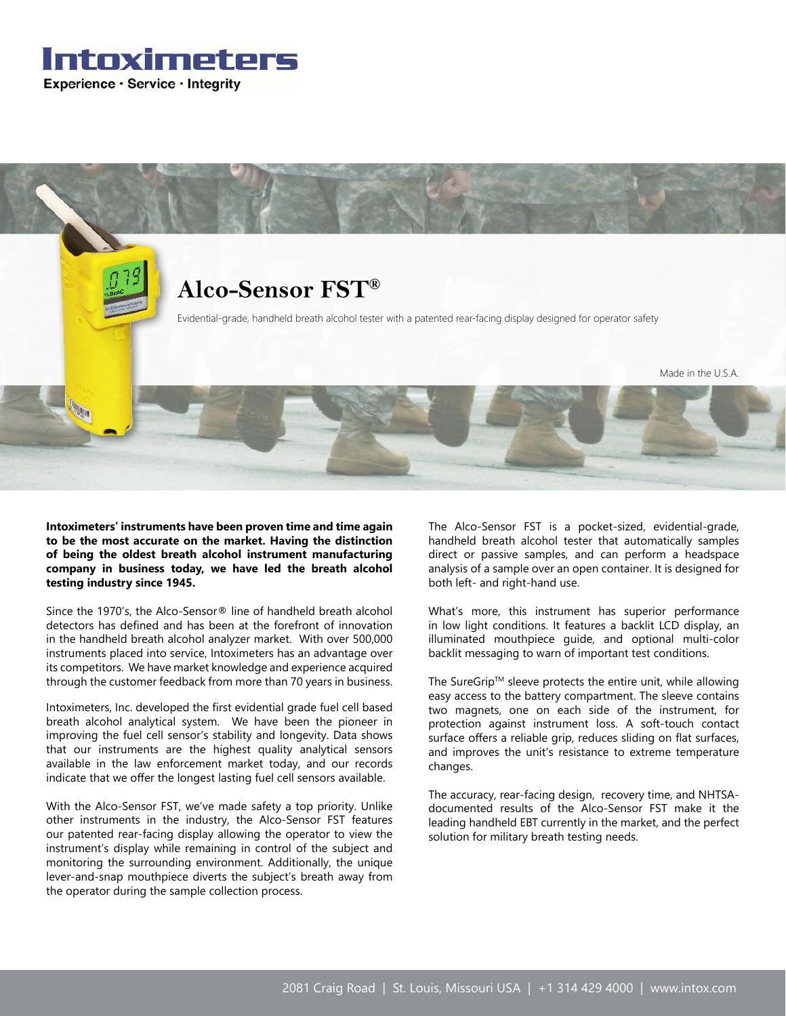



**Intoximeters' instruments have been proven time and time again to be the most accurate on the market. Having the distinction of being the oldest breath alcohol instrument manufacturing company in business today, we have led the breath alcohol testing industry since 1945.**

Since the 1970's, the Alco-Sensor® line of handheld breath alcohol detectors has defined and has been at the forefront of innovation in the handheld breath alcohol analyzer market. With over 500,000 instruments placed into service, Intoximeters has an advantage over its competitors. We have market knowledge and experience acquired through the customer feedback from more than 70 years in business.

Intoximeters, Inc. developed the first evidential grade fuel cell based breath alcohol analytical system. We have been the pioneer in improving the fuel cell sensor's stability and longevity. Data shows that our instruments are the highest quality analytical sensors available in the law enforcement market today, and our records indicate that we offer the longest lasting fuel cell sensors available.

With the Alco-Sensor FST, we've made safety a top priority. Unlike other instruments in the industry, the Alco-Sensor FST features our patented rear-facing display allowing the operator to view the instrument's display while remaining in control of the subject and monitoring the surrounding environment. Additionally, the unique lever-and-snap mouthpiece diverts the subject's breath away from the operator during the sample collection process.

The Alco-Sensor FST is a pocket-sized, evidential-grade, handheld breath alcohol tester that automatically samples direct or passive samples, and can perform a headspace analysis of a sample over an open container. It is designed for both left- and right-hand use.

What's more, this instrument has superior performance in low light conditions. It features a backlit LCD display, an illuminated mouthpiece guide, and optional multi-color backlit messaging to warn of important test conditions.

The SureGrip™ sleeve protects the entire unit, while allowing easy access to the battery compartment. The sleeve contains two magnets, one on each side of the instrument, for protection against instrument loss. A soft-touch contact surface offers a reliable grip, reduces sliding on flat surfaces, and improves the unit's resistance to extreme temperature changes.

The accuracy, rear-facing design, recovery time, and NHTSAdocumented results of the Alco-Sensor FST make it the leading handheld EBT currently in the market, and the perfect solution for military breath testing needs.